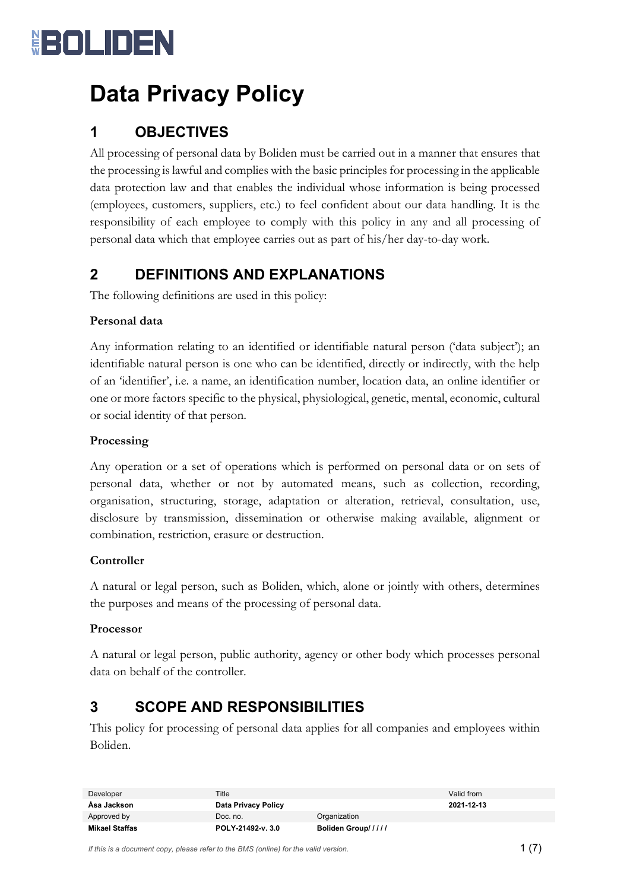

## **Data Privacy Policy**

## **1 OBJECTIVES**

All processing of personal data by Boliden must be carried out in a manner that ensures that the processing is lawful and complies with the basic principles for processing in the applicable data protection law and that enables the individual whose information is being processed (employees, customers, suppliers, etc.) to feel confident about our data handling. It is the responsibility of each employee to comply with this policy in any and all processing of personal data which that employee carries out as part of his/her day-to-day work.

## **2 DEFINITIONS AND EXPLANATIONS**

The following definitions are used in this policy:

#### **Personal data**

Any information relating to an identified or identifiable natural person ('data subject'); an identifiable natural person is one who can be identified, directly or indirectly, with the help of an 'identifier', i.e. a name, an identification number, location data, an online identifier or one or more factors specific to the physical, physiological, genetic, mental, economic, cultural or social identity of that person.

#### **Processing**

Any operation or a set of operations which is performed on personal data or on sets of personal data, whether or not by automated means, such as collection, recording, organisation, structuring, storage, adaptation or alteration, retrieval, consultation, use, disclosure by transmission, dissemination or otherwise making available, alignment or combination, restriction, erasure or destruction.

#### **Controller**

A natural or legal person, such as Boliden, which, alone or jointly with others, determines the purposes and means of the processing of personal data.

#### **Processor**

A natural or legal person, public authority, agency or other body which processes personal data on behalf of the controller.

## **3 SCOPE AND RESPONSIBILITIES**

This policy for processing of personal data applies for all companies and employees within Boliden.

| Developer      | Title               |                    | Valid from |
|----------------|---------------------|--------------------|------------|
| Åsa Jackson    | Data Privacy Policy |                    | 2021-12-13 |
| Approved by    | Doc. no.            | Organization       |            |
| Mikael Staffas | POLY-21492-v. 3.0   | Boliden Group///// |            |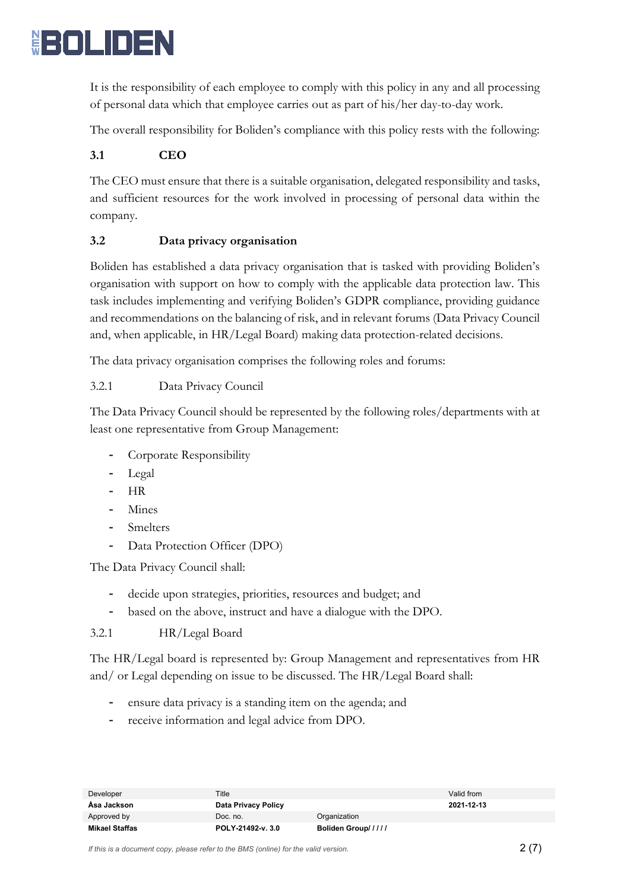

It is the responsibility of each employee to comply with this policy in any and all processing of personal data which that employee carries out as part of his/her day-to-day work.

The overall responsibility for Boliden's compliance with this policy rests with the following:

#### **3.1 CEO**

The CEO must ensure that there is a suitable organisation, delegated responsibility and tasks, and sufficient resources for the work involved in processing of personal data within the company.

#### **3.2 Data privacy organisation**

Boliden has established a data privacy organisation that is tasked with providing Boliden's organisation with support on how to comply with the applicable data protection law. This task includes implementing and verifying Boliden's GDPR compliance, providing guidance and recommendations on the balancing of risk, and in relevant forums (Data Privacy Council and, when applicable, in HR/Legal Board) making data protection-related decisions.

The data privacy organisation comprises the following roles and forums:

#### 3.2.1 Data Privacy Council

The Data Privacy Council should be represented by the following roles/departments with at least one representative from Group Management:

- Corporate Responsibility
- Legal
- HR
- **Mines**
- Smelters
- Data Protection Officer (DPO)

The Data Privacy Council shall:

- decide upon strategies, priorities, resources and budget; and
- based on the above, instruct and have a dialogue with the DPO.

#### 3.2.1 HR/Legal Board

The HR/Legal board is represented by: Group Management and representatives from HR and/ or Legal depending on issue to be discussed. The HR/Legal Board shall:

- ensure data privacy is a standing item on the agenda; and
- receive information and legal advice from DPO.

| Developer      | Title               |                    | Valid from |
|----------------|---------------------|--------------------|------------|
| Asa Jackson    | Data Privacy Policy |                    | 2021-12-13 |
| Approved by    | Doc. no.            | Organization       |            |
| Mikael Staffas | POLY-21492-v. 3.0   | Boliden Group///// |            |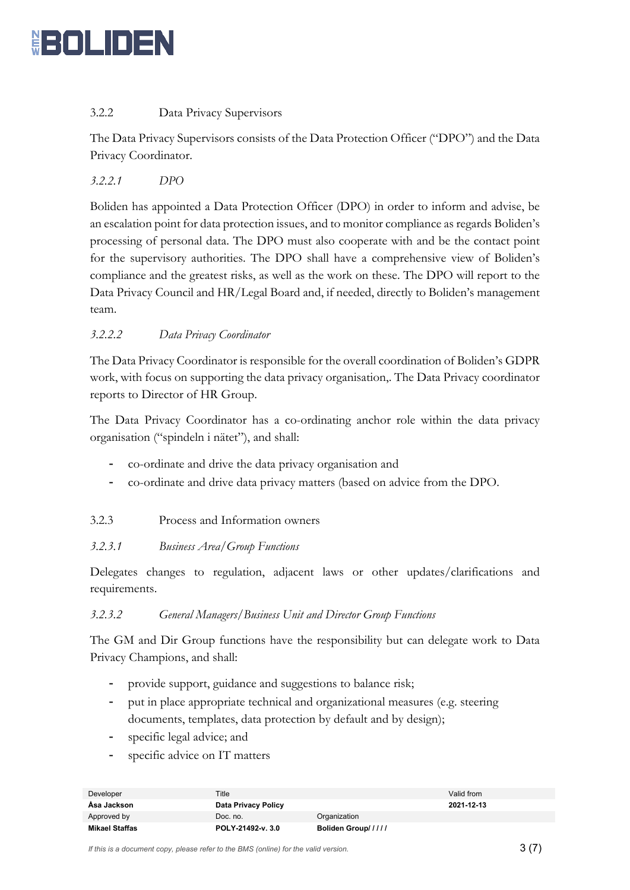

#### 3.2.2 Data Privacy Supervisors

The Data Privacy Supervisors consists of the Data Protection Officer ("DPO") and the Data Privacy Coordinator.

*3.2.2.1 DPO*

Boliden has appointed a Data Protection Officer (DPO) in order to inform and advise, be an escalation point for data protection issues, and to monitor compliance as regards Boliden's processing of personal data. The DPO must also cooperate with and be the contact point for the supervisory authorities. The DPO shall have a comprehensive view of Boliden's compliance and the greatest risks, as well as the work on these. The DPO will report to the Data Privacy Council and HR/Legal Board and, if needed, directly to Boliden's management team.

#### *3.2.2.2 Data Privacy Coordinator*

The Data Privacy Coordinator is responsible for the overall coordination of Boliden's GDPR work, with focus on supporting the data privacy organisation,. The Data Privacy coordinator reports to Director of HR Group.

The Data Privacy Coordinator has a co-ordinating anchor role within the data privacy organisation ("spindeln i nätet"), and shall:

- co-ordinate and drive the data privacy organisation and
- co-ordinate and drive data privacy matters (based on advice from the DPO.

#### 3.2.3 Process and Information owners

#### *3.2.3.1 Business Area/Group Functions*

Delegates changes to regulation, adjacent laws or other updates/clarifications and requirements.

#### *3.2.3.2 General Managers/Business Unit and Director Group Functions*

The GM and Dir Group functions have the responsibility but can delegate work to Data Privacy Champions, and shall:

- provide support, guidance and suggestions to balance risk;
- put in place appropriate technical and organizational measures (e.g. steering documents, templates, data protection by default and by design);
- specific legal advice; and
- specific advice on IT matters

| Developer      | Title               |                    | Valid from |
|----------------|---------------------|--------------------|------------|
| Asa Jackson    | Data Privacy Policy |                    | 2021-12-13 |
| Approved by    | Doc. no.            | Organization       |            |
| Mikael Staffas | POLY-21492-v. 3.0   | Boliden Group///// |            |

*If this is a document copy, please refer to the BMS (online) for the valid version.*  $3\ (7)$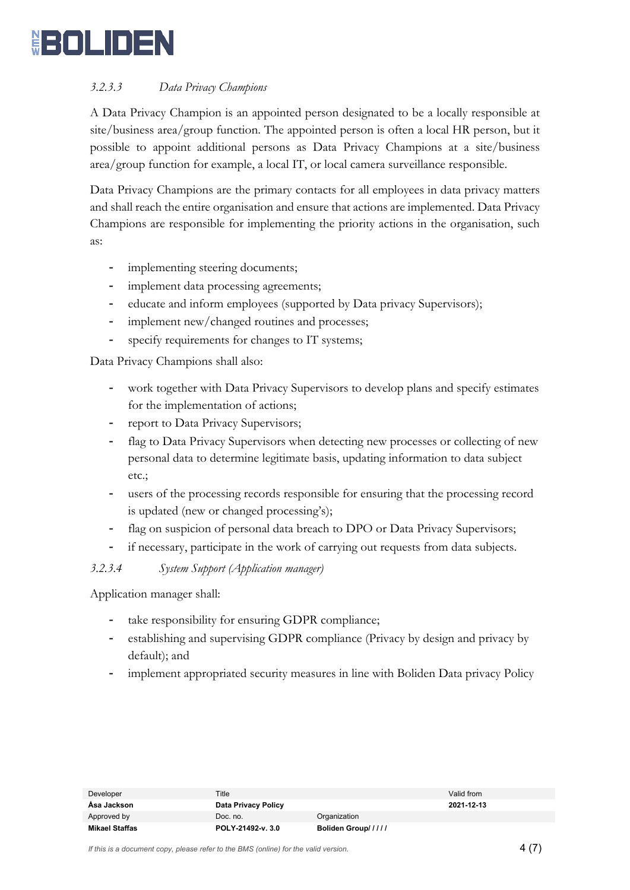

#### *3.2.3.3 Data Privacy Champions*

A Data Privacy Champion is an appointed person designated to be a locally responsible at site/business area/group function. The appointed person is often a local HR person, but it possible to appoint additional persons as Data Privacy Champions at a site/business area/group function for example, a local IT, or local camera surveillance responsible.

Data Privacy Champions are the primary contacts for all employees in data privacy matters and shall reach the entire organisation and ensure that actions are implemented. Data Privacy Champions are responsible for implementing the priority actions in the organisation, such as:

- implementing steering documents;
- implement data processing agreements;
- educate and inform employees (supported by Data privacy Supervisors);
- implement new/changed routines and processes;
- specify requirements for changes to IT systems;

Data Privacy Champions shall also:

- work together with Data Privacy Supervisors to develop plans and specify estimates for the implementation of actions;
- report to Data Privacy Supervisors;
- flag to Data Privacy Supervisors when detecting new processes or collecting of new personal data to determine legitimate basis, updating information to data subject etc.;
- users of the processing records responsible for ensuring that the processing record is updated (new or changed processing's);
- flag on suspicion of personal data breach to DPO or Data Privacy Supervisors;
- if necessary, participate in the work of carrying out requests from data subjects.

#### *3.2.3.4 System Support (Application manager)*

Application manager shall:

- take responsibility for ensuring GDPR compliance;
- establishing and supervising GDPR compliance (Privacy by design and privacy by default); and
- implement appropriated security measures in line with Boliden Data privacy Policy

| Developer      | Title               |                    | Valid from |
|----------------|---------------------|--------------------|------------|
| Asa Jackson    | Data Privacy Policy |                    | 2021-12-13 |
| Approved by    | Doc. no.            | Organization       |            |
| Mikael Staffas | POLY-21492-v. 3.0   | Boliden Group///// |            |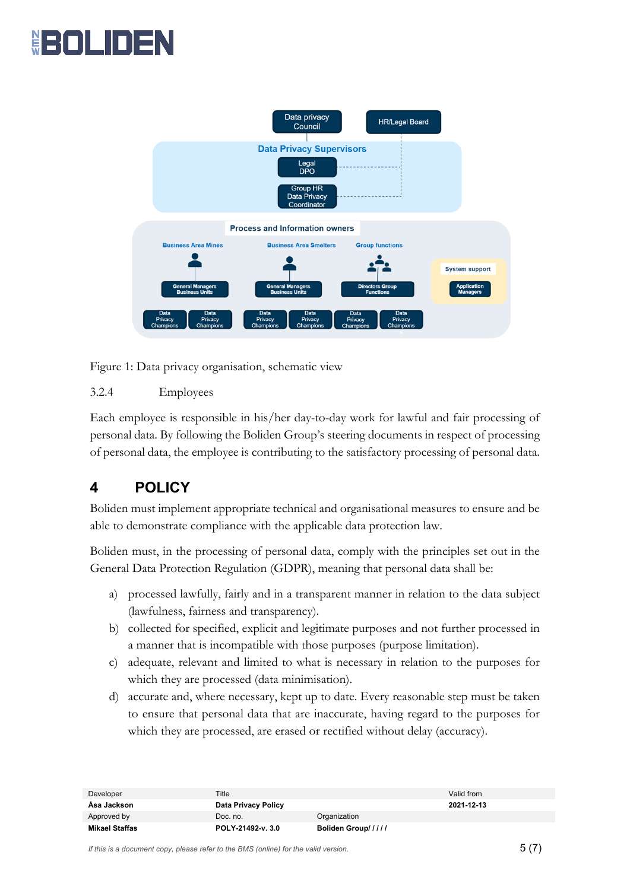# <u>₿={□|\_||□|=</u>



Figure 1: Data privacy organisation, schematic view

#### 3.2.4 Employees

Each employee is responsible in his/her day-to-day work for lawful and fair processing of personal data. By following the Boliden Group's steering documents in respect of processing of personal data, the employee is contributing to the satisfactory processing of personal data.

## **4 POLICY**

Boliden must implement appropriate technical and organisational measures to ensure and be able to demonstrate compliance with the applicable data protection law.

Boliden must, in the processing of personal data, comply with the principles set out in the General Data Protection Regulation (GDPR), meaning that personal data shall be:

- a) processed lawfully, fairly and in a transparent manner in relation to the data subject (lawfulness, fairness and transparency).
- b) collected for specified, explicit and legitimate purposes and not further processed in a manner that is incompatible with those purposes (purpose limitation).
- c) adequate, relevant and limited to what is necessary in relation to the purposes for which they are processed (data minimisation).
- d) accurate and, where necessary, kept up to date. Every reasonable step must be taken to ensure that personal data that are inaccurate, having regard to the purposes for which they are processed, are erased or rectified without delay (accuracy).

| Developer      | Title               |                    | Valid from |
|----------------|---------------------|--------------------|------------|
| Asa Jackson    | Data Privacy Policy |                    | 2021-12-13 |
| Approved by    | Doc. no.            | Organization       |            |
| Mikael Staffas | POLY-21492-v. 3.0   | Boliden Group///// |            |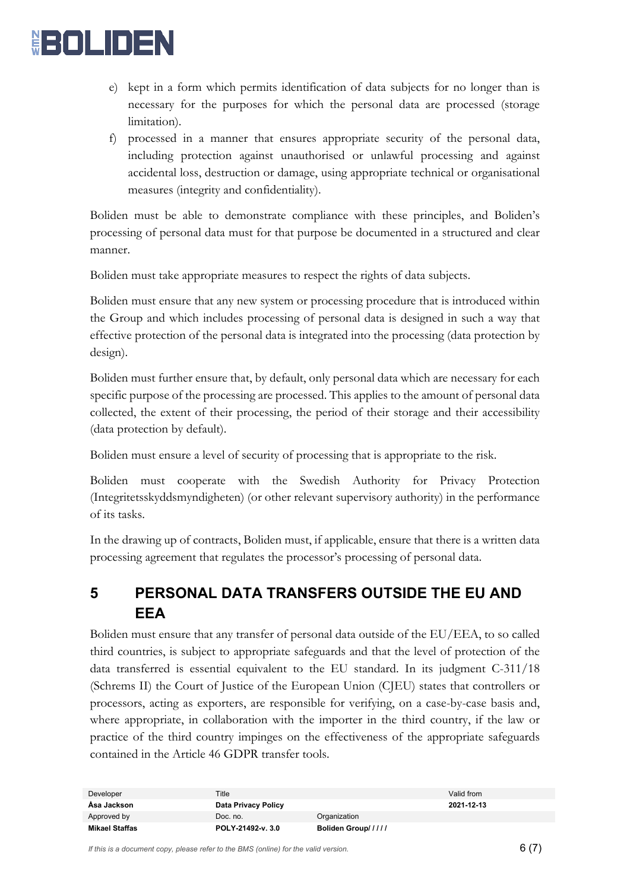

- e) kept in a form which permits identification of data subjects for no longer than is necessary for the purposes for which the personal data are processed (storage limitation).
- f) processed in a manner that ensures appropriate security of the personal data, including protection against unauthorised or unlawful processing and against accidental loss, destruction or damage, using appropriate technical or organisational measures (integrity and confidentiality).

Boliden must be able to demonstrate compliance with these principles, and Boliden's processing of personal data must for that purpose be documented in a structured and clear manner.

Boliden must take appropriate measures to respect the rights of data subjects.

Boliden must ensure that any new system or processing procedure that is introduced within the Group and which includes processing of personal data is designed in such a way that effective protection of the personal data is integrated into the processing (data protection by design).

Boliden must further ensure that, by default, only personal data which are necessary for each specific purpose of the processing are processed. This applies to the amount of personal data collected, the extent of their processing, the period of their storage and their accessibility (data protection by default).

Boliden must ensure a level of security of processing that is appropriate to the risk.

Boliden must cooperate with the Swedish Authority for Privacy Protection (Integritetsskyddsmyndigheten) (or other relevant supervisory authority) in the performance of its tasks.

In the drawing up of contracts, Boliden must, if applicable, ensure that there is a written data processing agreement that regulates the processor's processing of personal data.

## **5 PERSONAL DATA TRANSFERS OUTSIDE THE EU AND EEA**

Boliden must ensure that any transfer of personal data outside of the EU/EEA, to so called third countries, is subject to appropriate safeguards and that the level of protection of the data transferred is essential equivalent to the EU standard. In its judgment C-311/18 (Schrems II) the Court of Justice of the European Union (CJEU) states that controllers or processors, acting as exporters, are responsible for verifying, on a case-by-case basis and, where appropriate, in collaboration with the importer in the third country, if the law or practice of the third country impinges on the effectiveness of the appropriate safeguards contained in the Article 46 GDPR transfer tools.

| Developer      | Title               |                    | Valid from |
|----------------|---------------------|--------------------|------------|
| Åsa Jackson    | Data Privacy Policy |                    | 2021-12-13 |
| Approved by    | Doc. no.            | Organization       |            |
| Mikael Staffas | POLY-21492-v. 3.0   | Boliden Group///// |            |